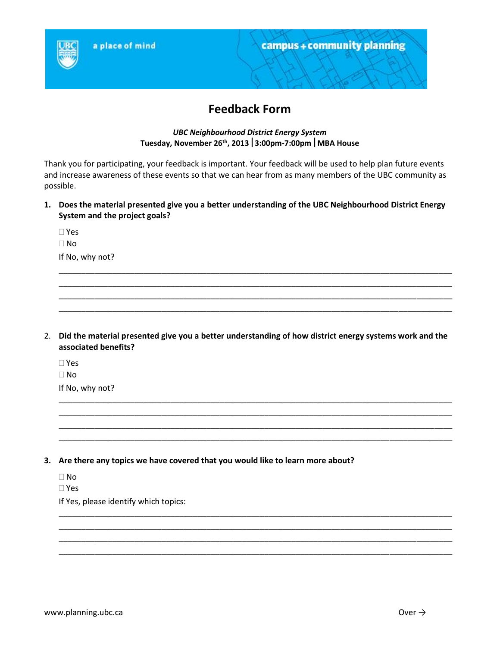

# **Feedback Form**

# *UBC Neighbourhood District Energy System* **Tuesday, November 26th , 20133:00pm-7:00pmMBA House**

Thank you for participating, your feedback is important. Your feedback will be used to help plan future events and increase awareness of these events so that we can hear from as many members of the UBC community as possible.

**1. Does the material presented give you a better understanding of the UBC Neighbourhood District Energy System and the project goals?**

\_\_\_\_\_\_\_\_\_\_\_\_\_\_\_\_\_\_\_\_\_\_\_\_\_\_\_\_\_\_\_\_\_\_\_\_\_\_\_\_\_\_\_\_\_\_\_\_\_\_\_\_\_\_\_\_\_\_\_\_\_\_\_\_\_\_\_\_\_\_\_\_\_\_\_\_\_\_\_\_\_\_\_\_\_\_\_\_ \_\_\_\_\_\_\_\_\_\_\_\_\_\_\_\_\_\_\_\_\_\_\_\_\_\_\_\_\_\_\_\_\_\_\_\_\_\_\_\_\_\_\_\_\_\_\_\_\_\_\_\_\_\_\_\_\_\_\_\_\_\_\_\_\_\_\_\_\_\_\_\_\_\_\_\_\_\_\_\_\_\_\_\_\_\_\_\_ \_\_\_\_\_\_\_\_\_\_\_\_\_\_\_\_\_\_\_\_\_\_\_\_\_\_\_\_\_\_\_\_\_\_\_\_\_\_\_\_\_\_\_\_\_\_\_\_\_\_\_\_\_\_\_\_\_\_\_\_\_\_\_\_\_\_\_\_\_\_\_\_\_\_\_\_\_\_\_\_\_\_\_\_\_\_\_\_ \_\_\_\_\_\_\_\_\_\_\_\_\_\_\_\_\_\_\_\_\_\_\_\_\_\_\_\_\_\_\_\_\_\_\_\_\_\_\_\_\_\_\_\_\_\_\_\_\_\_\_\_\_\_\_\_\_\_\_\_\_\_\_\_\_\_\_\_\_\_\_\_\_\_\_\_\_\_\_\_\_\_\_\_\_\_\_\_

 Yes No If No, why not?

2. **Did the material presented give you a better understanding of how district energy systems work and the associated benefits?**

\_\_\_\_\_\_\_\_\_\_\_\_\_\_\_\_\_\_\_\_\_\_\_\_\_\_\_\_\_\_\_\_\_\_\_\_\_\_\_\_\_\_\_\_\_\_\_\_\_\_\_\_\_\_\_\_\_\_\_\_\_\_\_\_\_\_\_\_\_\_\_\_\_\_\_\_\_\_\_\_\_\_\_\_\_\_\_\_ \_\_\_\_\_\_\_\_\_\_\_\_\_\_\_\_\_\_\_\_\_\_\_\_\_\_\_\_\_\_\_\_\_\_\_\_\_\_\_\_\_\_\_\_\_\_\_\_\_\_\_\_\_\_\_\_\_\_\_\_\_\_\_\_\_\_\_\_\_\_\_\_\_\_\_\_\_\_\_\_\_\_\_\_\_\_\_\_ \_\_\_\_\_\_\_\_\_\_\_\_\_\_\_\_\_\_\_\_\_\_\_\_\_\_\_\_\_\_\_\_\_\_\_\_\_\_\_\_\_\_\_\_\_\_\_\_\_\_\_\_\_\_\_\_\_\_\_\_\_\_\_\_\_\_\_\_\_\_\_\_\_\_\_\_\_\_\_\_\_\_\_\_\_\_\_\_ \_\_\_\_\_\_\_\_\_\_\_\_\_\_\_\_\_\_\_\_\_\_\_\_\_\_\_\_\_\_\_\_\_\_\_\_\_\_\_\_\_\_\_\_\_\_\_\_\_\_\_\_\_\_\_\_\_\_\_\_\_\_\_\_\_\_\_\_\_\_\_\_\_\_\_\_\_\_\_\_\_\_\_\_\_\_\_\_

\_\_\_\_\_\_\_\_\_\_\_\_\_\_\_\_\_\_\_\_\_\_\_\_\_\_\_\_\_\_\_\_\_\_\_\_\_\_\_\_\_\_\_\_\_\_\_\_\_\_\_\_\_\_\_\_\_\_\_\_\_\_\_\_\_\_\_\_\_\_\_\_\_\_\_\_\_\_\_\_\_\_\_\_\_\_\_\_ \_\_\_\_\_\_\_\_\_\_\_\_\_\_\_\_\_\_\_\_\_\_\_\_\_\_\_\_\_\_\_\_\_\_\_\_\_\_\_\_\_\_\_\_\_\_\_\_\_\_\_\_\_\_\_\_\_\_\_\_\_\_\_\_\_\_\_\_\_\_\_\_\_\_\_\_\_\_\_\_\_\_\_\_\_\_\_\_ \_\_\_\_\_\_\_\_\_\_\_\_\_\_\_\_\_\_\_\_\_\_\_\_\_\_\_\_\_\_\_\_\_\_\_\_\_\_\_\_\_\_\_\_\_\_\_\_\_\_\_\_\_\_\_\_\_\_\_\_\_\_\_\_\_\_\_\_\_\_\_\_\_\_\_\_\_\_\_\_\_\_\_\_\_\_\_\_ \_\_\_\_\_\_\_\_\_\_\_\_\_\_\_\_\_\_\_\_\_\_\_\_\_\_\_\_\_\_\_\_\_\_\_\_\_\_\_\_\_\_\_\_\_\_\_\_\_\_\_\_\_\_\_\_\_\_\_\_\_\_\_\_\_\_\_\_\_\_\_\_\_\_\_\_\_\_\_\_\_\_\_\_\_\_\_\_

Yes

 $\Box$  No

If No, why not?

**3. Are there any topics we have covered that you would like to learn more about?**

□ No

Yes

If Yes, please identify which topics: